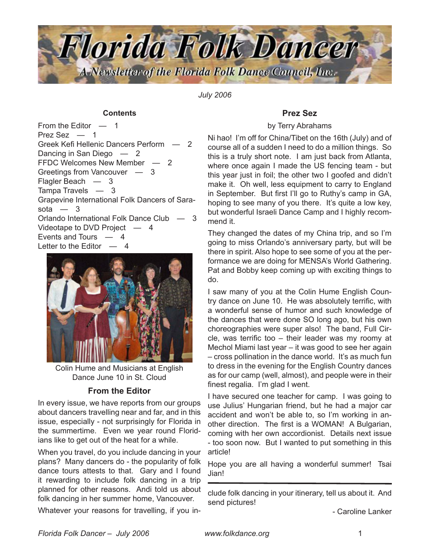

*July 2006*

### **Contents**

From the Editor — 1 Prez Sez — 1 [Greek Kefi Hellenic Dancers Perform](#page-1-0) — 2 [Dancing in San Diego](#page-1-0)  $-2$ [FFDC Welcomes New Member](#page-1-0) — 2 [Greetings from Vancouver](#page-2-0) — 3 [Flagler Beach](#page-2-0) — 3 [Tampa Travels](#page-2-0) — 3 [Grapevine International Folk Dancers of Sara](#page-2-0)[sota](#page-2-0)  $-3$ [Orlando International Folk Dance Club](#page-2-0) — 3 [Videotape to DVD Project](#page-3-0) — 4 [Events and Tours](#page-3-0) — 4 [Letter to the Editor](#page-3-0)  $-4$ 



Colin Hume and Musicians at English Dance June 10 in St. Cloud

# **From the Editor**

In every issue, we have reports from our groups about dancers travelling near and far, and in this issue, especially - not surprisingly for Florida in the summertime. Even we year round Floridians like to get out of the heat for a while.

When you travel, do you include dancing in your plans? Many dancers do - the popularity of folk dance tours attests to that. Gary and I found it rewarding to include folk dancing in a trip planned for other reasons. Andi told us about folk dancing in her summer home, Vancouver.

Whatever your reasons for travelling, if you in-

## **Prez Sez**

### by Terry Abrahams

Ni hao! I'm off for China/Tibet on the 16th (July) and of course all of a sudden I need to do a million things. So this is a truly short note. I am just back from Atlanta, where once again I made the US fencing team - but this year just in foil; the other two I goofed and didn't make it. Oh well, less equipment to carry to England in September. But first I'll go to Ruthy's camp in GA, hoping to see many of you there. It's quite a low key, but wonderful Israeli Dance Camp and I highly recommend it.

They changed the dates of my China trip, and so I'm going to miss Orlando's anniversary party, but will be there in spirit. Also hope to see some of you at the performance we are doing for MENSA's World Gathering. Pat and Bobby keep coming up with exciting things to do.

I saw many of you at the Colin Hume English Country dance on June 10. He was absolutely terrific, with a wonderful sense of humor and such knowledge of the dances that were done SO long ago, but his own choreographies were super also! The band, Full Circle, was terrific too – their leader was my roomy at Mechol Miami last year – it was good to see her again – cross pollination in the dance world. It's as much fun to dress in the evening for the English Country dances as for our camp (well, almost), and people were in their finest regalia. I'm glad I went.

I have secured one teacher for camp. I was going to use Julius' Hungarian friend, but he had a major car accident and won't be able to, so I'm working in another direction. The first is a WOMAN! A Bulgarian, coming with her own accordionist. Details next issue - too soon now. But I wanted to put something in this article!

Hope you are all having a wonderful summer! Tsai Jian!

clude folk dancing in your itinerary, tell us about it. And send pictures!

- Caroline Lanker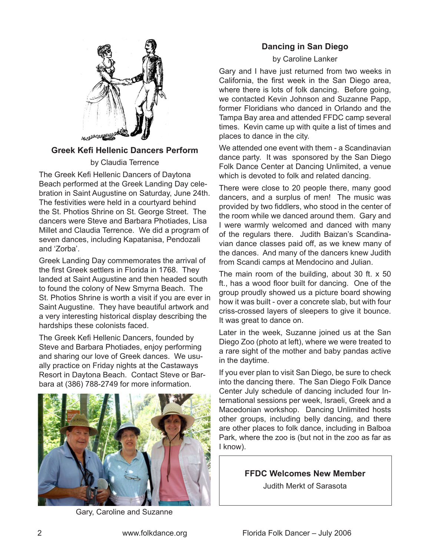<span id="page-1-0"></span>

## **Greek Kefi Hellenic Dancers Perform**

by Claudia Terrence

The Greek Kefi Hellenic Dancers of Daytona Beach performed at the Greek Landing Day celebration in Saint Augustine on Saturday, June 24th. The festivities were held in a courtyard behind the St. Photios Shrine on St. George Street. The dancers were Steve and Barbara Photiades, Lisa Millet and Claudia Terrence. We did a program of seven dances, including Kapatanisa, Pendozali and 'Zorba'.

Greek Landing Day commemorates the arrival of the first Greek settlers in Florida in 1768. They landed at Saint Augustine and then headed south to found the colony of New Smyrna Beach. The St. Photios Shrine is worth a visit if you are ever in Saint Augustine. They have beautiful artwork and a very interesting historical display describing the hardships these colonists faced.

The Greek Kefi Hellenic Dancers, founded by Steve and Barbara Photiades, enjoy performing and sharing our love of Greek dances. We usually practice on Friday nights at the Castaways Resort in Daytona Beach. Contact Steve or Barbara at (386) 788-2749 for more information.



Gary, Caroline and Suzanne

# **Dancing in San Diego**

by Caroline Lanker

Gary and I have just returned from two weeks in California, the first week in the San Diego area, where there is lots of folk dancing. Before going, we contacted Kevin Johnson and Suzanne Papp, former Floridians who danced in Orlando and the Tampa Bay area and attended FFDC camp several times. Kevin came up with quite a list of times and places to dance in the city.

We attended one event with them - a Scandinavian dance party. It was sponsored by the San Diego Folk Dance Center at Dancing Unlimited, a venue which is devoted to folk and related dancing.

There were close to 20 people there, many good dancers, and a surplus of men! The music was provided by two fiddlers, who stood in the center of the room while we danced around them. Gary and I were warmly welcomed and danced with many of the regulars there. Judith Baizan's Scandinavian dance classes paid off, as we knew many of the dances. And many of the dancers knew Judith from Scandi camps at Mendocino and Julian.

The main room of the building, about 30 ft. x 50 ft., has a wood floor built for dancing. One of the group proudly showed us a picture board showing how it was built - over a concrete slab, but with four criss-crossed layers of sleepers to give it bounce. It was great to dance on.

Later in the week, Suzanne joined us at the San Diego Zoo (photo at left), where we were treated to a rare sight of the mother and baby pandas active in the daytime.

If you ever plan to visit San Diego, be sure to check into the dancing there. The San Diego Folk Dance Center July schedule of dancing included four International sessions per week, Israeli, Greek and a Macedonian workshop. Dancing Unlimited hosts other groups, including belly dancing, and there are other places to folk dance, including in Balboa Park, where the zoo is (but not in the zoo as far as I know).

**FFDC Welcomes New Member**

Judith Merkt of Sarasota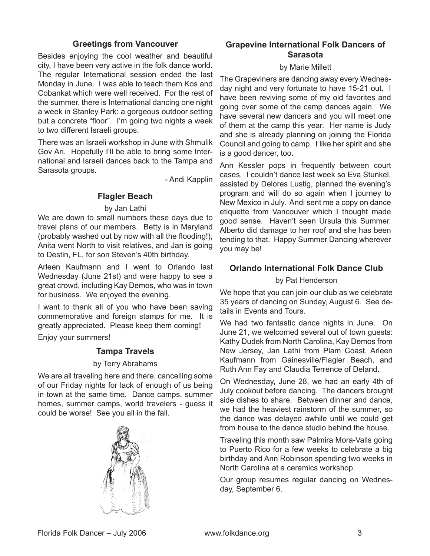## **Greetings from Vancouver**

<span id="page-2-0"></span>Besides enjoying the cool weather and beautiful city, I have been very active in the folk dance world. The regular International session ended the last Monday in June. I was able to teach them Kos and Cobankat which were well received. For the rest of the summer, there is International dancing one night a week in Stanley Park: a gorgeous outdoor setting but a concrete "floor". I'm going two nights a week to two different Israeli groups.

There was an Israeli workshop in June with Shmulik Gov Ari. Hopefully I'll be able to bring some International and Israeli dances back to the Tampa and Sarasota groups.

- Andi Kapplin

# **Flagler Beach**

### by Jan Lathi

We are down to small numbers these days due to travel plans of our members. Betty is in Maryland (probably washed out by now with all the flooding!), Anita went North to visit relatives, and Jan is going to Destin, FL, for son Steven's 40th birthday.

Arleen Kaufmann and I went to Orlando last Wednesday (June 21st) and were happy to see a great crowd, including Kay Demos, who was in town for business. We enjoyed the evening.

I want to thank all of you who have been saving commemorative and foreign stamps for me. It is greatly appreciated. Please keep them coming!

Enjoy your summers!

# **Tampa Travels**

## by Terry Abrahams

We are all traveling here and there, cancelling some of our Friday nights for lack of enough of us being in town at the same time. Dance camps, summer homes, summer camps, world travelers - guess it could be worse! See you all in the fall.



# **Grapevine International Folk Dancers of Sarasota**

### by Marie Millett

The Grapeviners are dancing away every Wednesday night and very fortunate to have 15-21 out. I have been reviving some of my old favorites and going over some of the camp dances again. We have several new dancers and you will meet one of them at the camp this year. Her name is Judy and she is already planning on joining the Florida Council and going to camp. I like her spirit and she is a good dancer, too.

Ann Kessler pops in frequently between court cases. I couldn't dance last week so Eva Stunkel, assisted by Delores Lustig, planned the evening's program and will do so again when I journey to New Mexico in July. Andi sent me a copy on dance etiquette from Vancouver which I thought made good sense. Haven't seen Ursula this Summer. Alberto did damage to her roof and she has been tending to that. Happy Summer Dancing wherever you may be!

# **Orlando International Folk Dance Club**

by Pat Henderson

We hope that you can join our club as we celebrate 35 years of dancing on Sunday, August 6. See details in Events and Tours.

We had two fantastic dance nights in June. On June 21, we welcomed several out of town guests: Kathy Dudek from North Carolina, Kay Demos from New Jersey, Jan Lathi from Plam Coast, Arleen Kaufmann from Gainesville/Flagler Beach, and Ruth Ann Fay and Claudia Terrence of Deland.

On Wednesday, June 28, we had an early 4th of July cookout before dancing. The dancers brought side dishes to share. Between dinner and dance, we had the heaviest rainstorm of the summer, so the dance was delayed awhile until we could get from house to the dance studio behind the house.

Traveling this month saw Palmira Mora-Valls going to Puerto Rico for a few weeks to celebrate a big birthday and Ann Robinson spending two weeks in North Carolina at a ceramics workshop.

Our group resumes regular dancing on Wednesday, September 6.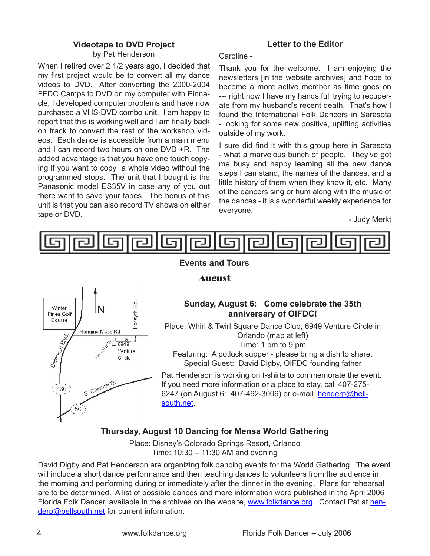## **Videotape to DVD Project**

by Pat Henderson

<span id="page-3-0"></span>When I retired over 2 1/2 years ago, I decided that my first project would be to convert all my dance videos to DVD. After converting the 2000-2004 FFDC Camps to DVD on my computer with Pinnacle, I developed computer problems and have now purchased a VHS-DVD combo unit. I am happy to report that this is working well and I am finally back on track to convert the rest of the workshop videos. Each dance is accessible from a main menu and I can record two hours on one DVD +R. The added advantage is that you have one touch copying if you want to copy a whole video without the programmed stops. The unit that I bought is the Panasonic model ES35V in case any of you out there want to save your tapes. The bonus of this unit is that you can also record TV shows on either tape or DVD.

# **Letter to the Editor**

#### Caroline -

Thank you for the welcome. I am enjoying the newsletters [in the website archives] and hope to become a more active member as time goes on --- right now I have my hands full trying to recuperate from my husband's recent death. That's how I found the International Folk Dancers in Sarasota - looking for some new positive, uplifting activities outside of my work.

I sure did find it with this group here in Sarasota - what a marvelous bunch of people. They've got me busy and happy learning all the new dance steps I can stand, the names of the dances, and a little history of them when they know it, etc. Many of the dancers sing or hum along with the music of the dances - it is a wonderful weekly experience for everyone.

- Judy Merkt



## Rd Winter Forsyth Pines Golf Course Hanging Moss Rd. 1 Blvd  $\gamma$ 6949 Semoran & Venture Circle E. Colonial Dr. 436 50

# **August**

# **Sunday, August 6: Come celebrate the 35th anniversary of OIFDC!**

Place: Whirl & Twirl Square Dance Club, 6949 Venture Circle in Orlando (map at left) Time: 1 pm to 9 pm

Featuring: A potluck supper - please bring a dish to share. Special Guest: David Digby, OIFDC founding father

Pat Henderson is working on t-shirts to commemorate the event. If you need more information or a place to stay, call 407-275 6247 (on August 6: 407-492-3006) or e-mail [henderp@bell](mailto:henderp@bellsouth.net)[south.net](mailto:henderp@bellsouth.net).

# **Thursday, August 10 Dancing for Mensa World Gathering**

Place: Disney's Colorado Springs Resort, Orlando Time: 10:30 – 11:30 AM and evening

David Digby and Pat Henderson are organizing folk dancing events for the World Gathering. The event will include a short dance performance and then teaching dances to volunteers from the audience in the morning and performing during or immediately after the dinner in the evening. Plans for rehearsal are to be determined. A list of possible dances and more information were published in the April 2006 Florida Folk Dancer, available in the archives on the website, [www.folkdance.org](http://www.folkdance.org). Contact Pat at [hen](mailto:henderp@bellsouth.net)[derp@bellsouth.net](mailto:henderp@bellsouth.net) for current information.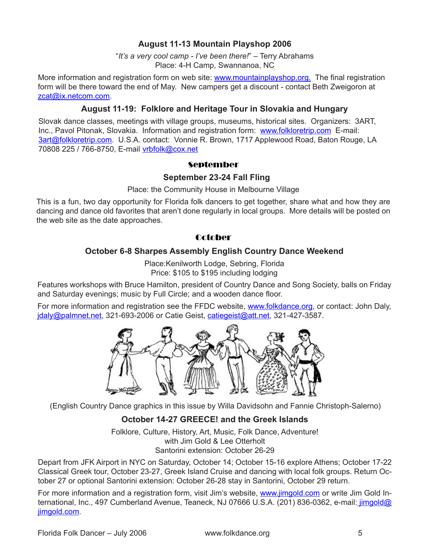# **August 11-13 Mountain Playshop 2006**

"*It's a very cool camp - I've been there!*" – Terry Abrahams Place: 4-H Camp, Swannanoa, NC

More information and registration form on web site: [www.mountainplayshop.org.](http://www.mountainplayshop.org/) The final registration form will be there toward the end of May. New campers get a discount - contact Beth Zweigoron at [zcat@ix.netcom.com](mailto:zcat@ix.netcom.com).

## **August 11-19: Folklore and Heritage Tour in Slovakia and Hungary**

Slovak dance classes, meetings with village groups, museums, historical sites. Organizers: 3ART, Inc., Pavol Pitonak, Slovakia. Information and registration form: [www.folkloretrip.com](http://www.folkloretrip.com) E-mail: [3art@folkloretrip.com](mailto:3art@folkloretrip.com). U.S.A. contact: Vonnie R. Brown, 1717 Applewood Road, Baton Rouge, LA 70808 225 / 766-8750, E-mail [vrbfolk@cox.net](mailto:vrbfolk@cox.net)

## **September**

### **September 23-24 Fall Fling**

Place: the Community House in Melbourne Village

This is a fun, two day opportunity for Florida folk dancers to get together, share what and how they are dancing and dance old favorites that aren't done regularly in local groups. More details will be posted on the web site as the date approaches.

# **October**

## **October 6-8 Sharpes Assembly English Country Dance Weekend**

Place:Kenilworth Lodge, Sebring, Florida Price: \$105 to \$195 including lodging

Features workshops with Bruce Hamilton, president of Country Dance and Song Society, balls on Friday and Saturday evenings; music by Full Circle; and a wooden dance floor.

For more information and registration see the FFDC website, [www.folkdance.org](http://www.folkdance.org), or contact: John Daly, [jdaly@palmnet.net](mailto:jdaly@palmnet.net), 321-693-2006 or Catie Geist, [catiegeist@att.net](mailto:catiegeist@att.net), 321-427-3587.



(English Country Dance graphics in this issue by Willa Davidsohn and Fannie Christoph-Salerno)

# **October 14-27 GREECE! and the Greek Islands**

Folklore, Culture, History, Art, Music, Folk Dance, Adventure! with Jim Gold & Lee Otterholt Santorini extension: October 26-29

Depart from JFK Airport in NYC on Saturday, October 14; October 15-16 explore Athens; October 17-22 Classical Greek tour, October 23-27, Greek Island Cruise and dancing with local folk groups. Return October 27 or optional Santorini extension: October 26-28 stay in Santorini, October 29 return.

For more information and a registration form, visit Jim's website, [www.jimgold.com](http://www.jimgold.com) or write Jim Gold International, Inc., 497 Cumberland Avenue, Teaneck, NJ 07666 U.S.A. (201) 836-0362, e-mail: [jimgold@](mailto:jimgold@jimgold.com) [jimgold.com.](mailto:jimgold@jimgold.com)